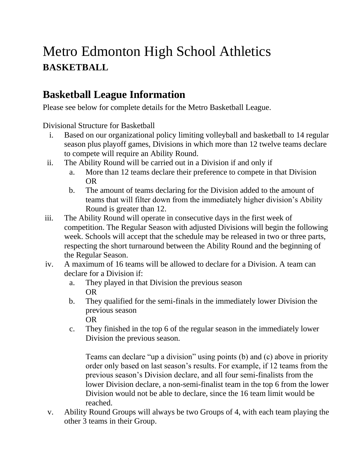# Metro Edmonton High School Athletics **BASKETBALL**

# **Basketball League Information**

Please see below for complete details for the Metro Basketball League.

Divisional Structure for Basketball

- i. Based on our organizational policy limiting volleyball and basketball to 14 regular season plus playoff games, Divisions in which more than 12 twelve teams declare to compete will require an Ability Round.
- ii. The Ability Round will be carried out in a Division if and only if
	- a. More than 12 teams declare their preference to compete in that Division OR
	- b. The amount of teams declaring for the Division added to the amount of teams that will filter down from the immediately higher division's Ability Round is greater than 12.
- iii. The Ability Round will operate in consecutive days in the first week of competition. The Regular Season with adjusted Divisions will begin the following week. Schools will accept that the schedule may be released in two or three parts, respecting the short turnaround between the Ability Round and the beginning of the Regular Season.
- iv. A maximum of 16 teams will be allowed to declare for a Division. A team can declare for a Division if:
	- a. They played in that Division the previous season OR
	- b. They qualified for the semi-finals in the immediately lower Division the previous season OR
	- c. They finished in the top 6 of the regular season in the immediately lower Division the previous season.

Teams can declare "up a division" using points (b) and (c) above in priority order only based on last season's results. For example, if 12 teams from the previous season's Division declare, and all four semi-finalists from the lower Division declare, a non-semi-finalist team in the top 6 from the lower Division would not be able to declare, since the 16 team limit would be reached.

v. Ability Round Groups will always be two Groups of 4, with each team playing the other 3 teams in their Group.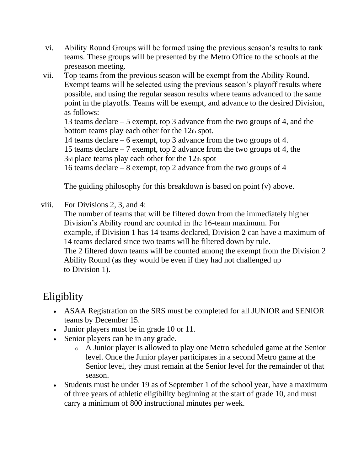- vi. Ability Round Groups will be formed using the previous season's results to rank teams. These groups will be presented by the Metro Office to the schools at the preseason meeting.
- vii. Top teams from the previous season will be exempt from the Ability Round. Exempt teams will be selected using the previous season's playoff results where possible, and using the regular season results where teams advanced to the same point in the playoffs. Teams will be exempt, and advance to the desired Division, as follows:

13 teams declare – 5 exempt, top 3 advance from the two groups of 4, and the bottom teams play each other for the 12th spot.

14 teams declare – 6 exempt, top 3 advance from the two groups of 4.

15 teams declare – 7 exempt, top 2 advance from the two groups of 4, the 3rd place teams play each other for the 12th spot

16 teams declare – 8 exempt, top 2 advance from the two groups of 4

The guiding philosophy for this breakdown is based on point (v) above.

viii. For Divisions 2, 3, and 4:

The number of teams that will be filtered down from the immediately higher Division's Ability round are counted in the 16-team maximum. For example, if Division 1 has 14 teams declared, Division 2 can have a maximum of 14 teams declared since two teams will be filtered down by rule. The 2 filtered down teams will be counted among the exempt from the Division 2 Ability Round (as they would be even if they had not challenged up to Division 1).

# **Eligiblity**

- ASAA Registration on the SRS must be completed for all JUNIOR and SENIOR teams by December 15.
- Junior players must be in grade 10 or 11.
- Senior players can be in any grade.
	- o A Junior player is allowed to play one Metro scheduled game at the Senior level. Once the Junior player participates in a second Metro game at the Senior level, they must remain at the Senior level for the remainder of that season.
- Students must be under 19 as of September 1 of the school year, have a maximum of three years of athletic eligibility beginning at the start of grade 10, and must carry a minimum of 800 instructional minutes per week.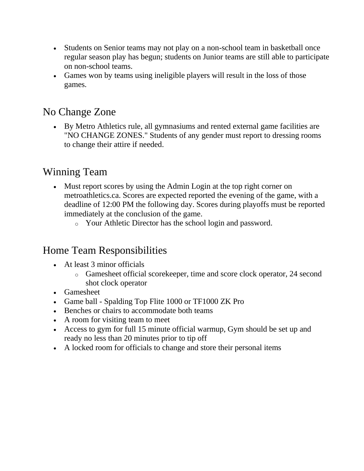- Students on Senior teams may not play on a non-school team in basketball once regular season play has begun; students on Junior teams are still able to participate on non-school teams.
- Games won by teams using ineligible players will result in the loss of those games.

#### No Change Zone

• By Metro Athletics rule, all gymnasiums and rented external game facilities are "NO CHANGE ZONES." Students of any gender must report to dressing rooms to change their attire if needed.

## Winning Team

- Must report scores by using the Admin Login at the top right corner on metroathletics.ca. Scores are expected reported the evening of the game, with a deadline of 12:00 PM the following day. Scores during playoffs must be reported immediately at the conclusion of the game.
	- o Your Athletic Director has the school login and password.

## Home Team Responsibilities

- At least 3 minor officials
	- o Gamesheet official scorekeeper, time and score clock operator, 24 second shot clock operator
- Gamesheet
- Game ball Spalding Top Flite 1000 or TF1000 ZK Pro
- Benches or chairs to accommodate both teams
- A room for visiting team to meet
- Access to gym for full 15 minute official warmup, Gym should be set up and ready no less than 20 minutes prior to tip off
- A locked room for officials to change and store their personal items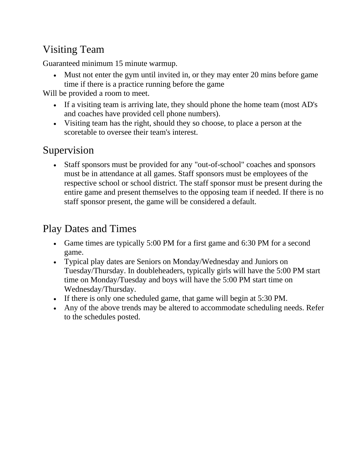# Visiting Team

Guaranteed minimum 15 minute warmup.

• Must not enter the gym until invited in, or they may enter 20 mins before game time if there is a practice running before the game

Will be provided a room to meet.

- If a visiting team is arriving late, they should phone the home team (most AD's and coaches have provided cell phone numbers).
- Visiting team has the right, should they so choose, to place a person at the scoretable to oversee their team's interest.

# Supervision

• Staff sponsors must be provided for any "out-of-school" coaches and sponsors must be in attendance at all games. Staff sponsors must be employees of the respective school or school district. The staff sponsor must be present during the entire game and present themselves to the opposing team if needed. If there is no staff sponsor present, the game will be considered a default.

# Play Dates and Times

- Game times are typically 5:00 PM for a first game and 6:30 PM for a second game.
- Typical play dates are Seniors on Monday/Wednesday and Juniors on Tuesday/Thursday. In doubleheaders, typically girls will have the 5:00 PM start time on Monday/Tuesday and boys will have the 5:00 PM start time on Wednesday/Thursday.
- If there is only one scheduled game, that game will begin at 5:30 PM.
- Any of the above trends may be altered to accommodate scheduling needs. Refer to the schedules posted.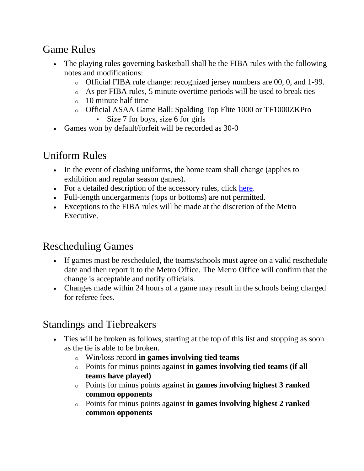# Game Rules

- The playing rules governing basketball shall be the FIBA rules with the following notes and modifications:
	- o Official FIBA rule change: recognized jersey numbers are 00, 0, and 1-99.
	- o As per FIBA rules, 5 minute overtime periods will be used to break ties
	- o 10 minute half time
	- o Official ASAA Game Ball: Spalding Top Flite 1000 or TF1000ZKPro
		- Size 7 for boys, size 6 for girls
- Games won by default/forfeit will be recorded as 30-0

## Uniform Rules

- In the event of clashing uniforms, the home team shall change (applies to exhibition and regular season games).
- For a detailed description of the accessory rules, click [here.](http://www.metroathletics.ca/files/uniforms_accessories_2016%5b3%5d.pdf)
- Full-length undergarments (tops or bottoms) are not permitted.
- Exceptions to the FIBA rules will be made at the discretion of the Metro Executive.

## Rescheduling Games

- If games must be rescheduled, the teams/schools must agree on a valid reschedule date and then report it to the Metro Office. The Metro Office will confirm that the change is acceptable and notify officials.
- Changes made within 24 hours of a game may result in the schools being charged for referee fees.

## Standings and Tiebreakers

- Ties will be broken as follows, starting at the top of this list and stopping as soon as the tie is able to be broken.
	- o Win/loss record **in games involving tied teams**
	- o Points for minus points against **in games involving tied teams (if all teams have played)**
	- o Points for minus points against **in games involving highest 3 ranked common opponents**
	- o Points for minus points against **in games involving highest 2 ranked common opponents**